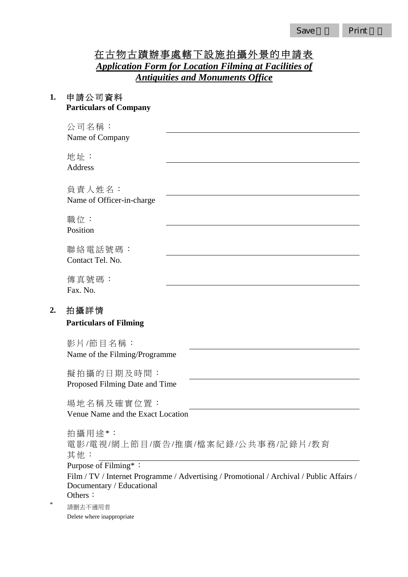# 在古物古蹟辦事處轄下設施拍攝外景的申請表 *Application Form for Location Filming at Facilities of Antiquities and Monuments Office*

#### **1.** 申請公司資料 **Particulars of Company**

公司名稱: Name of Company

地址: Address

負責人姓名: Name of Officer-in-charge

職位: Position

聯絡電話號碼: Contact Tel. No.

傳真號碼: Fax. No.

### **2.** 拍攝詳情

#### **Particulars of Filming**

影 片/節目名稱: Name of the Filming/Programme

擬拍攝的日期及時間: Proposed Filming Date and Time

場地名稱及確實位置: Venue Name and the Exact Location

拍攝用途\*: 電 影/電 視/網上節目/廣告/推廣 /檔案紀錄 /公共事務 /記錄片/教育 其他: Purpose of Filming\*: Film / TV / Internet Programme / Advertising / Promotional / Archival / Public Affairs / Documentary / Educational

Others:

請删去不適用者 Delete where inappropriate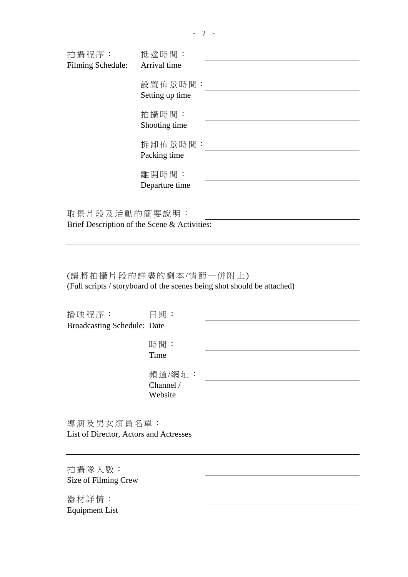| 拍攝程序:             | 抵達時間:                      |  |
|-------------------|----------------------------|--|
| Filming Schedule: | Arrival time               |  |
|                   | 設置佈景時間:<br>Setting up time |  |
|                   |                            |  |
|                   | 拍攝時間:                      |  |
|                   | Shooting time              |  |
|                   | 拆卸佈景時間:                    |  |
|                   | Packing time               |  |
|                   | 離開時間:                      |  |
|                   | Departure time             |  |
|                   |                            |  |
| 取景片段及活動的簡要說明:     |                            |  |

Brief Description of the Scene & Activities:

(請將拍攝片段的詳盡的劇本 /情節一併附上) (Full scripts / storyboard of the scenes being shot should be attached)

| 播映程序:                                  | 日期:                  |  |
|----------------------------------------|----------------------|--|
| <b>Broadcasting Schedule: Date</b>     |                      |  |
|                                        | 時間:<br>Time          |  |
|                                        | 頻道/網址:               |  |
|                                        | Channel /<br>Website |  |
| 導演及男女演員名單:                             |                      |  |
| List of Director, Actors and Actresses |                      |  |
|                                        |                      |  |
| 拍攝隊人數:                                 |                      |  |
| Size of Filming Crew                   |                      |  |

器材詳情: Equipment List